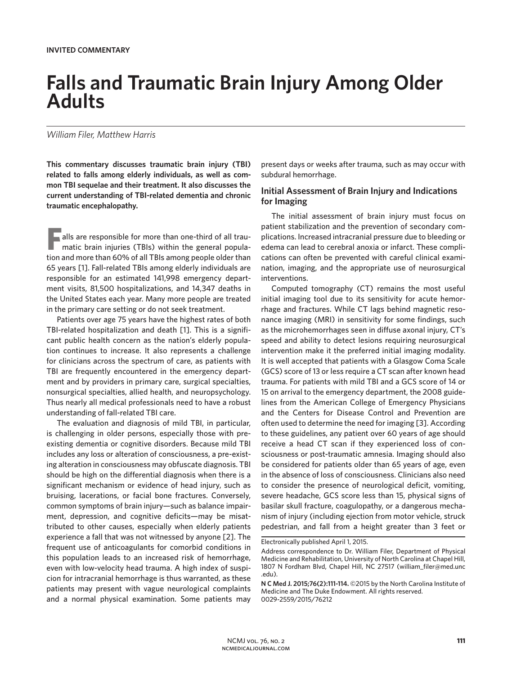# **Falls and Traumatic Brain Injury Among Older Adults**

*William Filer, Matthew Harris*

**This commentary discusses traumatic brain injury (TBI) related to falls among elderly individuals, as well as common TBI sequelae and their treatment. It also discusses the current understanding of TBI-related dementia and chronic traumatic encephalopathy.** 

**F**alls are responsible for more than one-third of all traumatic brain injuries (TBIs) within the general population and more than 60% of all TBIs among people older than 65 years [1]. Fall-related TBIs among elderly individuals are responsible for an estimated 141,998 emergency department visits, 81,500 hospitalizations, and 14,347 deaths in the United States each year. Many more people are treated in the primary care setting or do not seek treatment.

Patients over age 75 years have the highest rates of both TBI-related hospitalization and death [1]. This is a significant public health concern as the nation's elderly population continues to increase. It also represents a challenge for clinicians across the spectrum of care, as patients with TBI are frequently encountered in the emergency department and by providers in primary care, surgical specialties, nonsurgical specialties, allied health, and neuropsychology. Thus nearly all medical professionals need to have a robust understanding of fall-related TBI care.

The evaluation and diagnosis of mild TBI, in particular, is challenging in older persons, especially those with preexisting dementia or cognitive disorders. Because mild TBI includes any loss or alteration of consciousness, a pre-existing alteration in consciousness may obfuscate diagnosis. TBI should be high on the differential diagnosis when there is a significant mechanism or evidence of head injury, such as bruising, lacerations, or facial bone fractures. Conversely, common symptoms of brain injury—such as balance impairment, depression, and cognitive deficits—may be misattributed to other causes, especially when elderly patients experience a fall that was not witnessed by anyone [2]. The frequent use of anticoagulants for comorbid conditions in this population leads to an increased risk of hemorrhage, even with low-velocity head trauma. A high index of suspicion for intracranial hemorrhage is thus warranted, as these patients may present with vague neurological complaints and a normal physical examination. Some patients may

present days or weeks after trauma, such as may occur with subdural hemorrhage.

# **Initial Assessment of Brain Injury and Indications for Imaging**

The initial assessment of brain injury must focus on patient stabilization and the prevention of secondary complications. Increased intracranial pressure due to bleeding or edema can lead to cerebral anoxia or infarct. These complications can often be prevented with careful clinical examination, imaging, and the appropriate use of neurosurgical interventions.

Computed tomography (CT) remains the most useful initial imaging tool due to its sensitivity for acute hemorrhage and fractures. While CT lags behind magnetic resonance imaging (MRI) in sensitivity for some findings, such as the microhemorrhages seen in diffuse axonal injury, CT's speed and ability to detect lesions requiring neurosurgical intervention make it the preferred initial imaging modality. It is well accepted that patients with a Glasgow Coma Scale (GCS) score of 13 or less require a CT scan after known head trauma. For patients with mild TBI and a GCS score of 14 or 15 on arrival to the emergency department, the 2008 guidelines from the American College of Emergency Physicians and the Centers for Disease Control and Prevention are often used to determine the need for imaging [3]. According to these guidelines, any patient over 60 years of age should receive a head CT scan if they experienced loss of consciousness or post-traumatic amnesia. Imaging should also be considered for patients older than 65 years of age, even in the absence of loss of consciousness. Clinicians also need to consider the presence of neurological deficit, vomiting, severe headache, GCS score less than 15, physical signs of basilar skull fracture, coagulopathy, or a dangerous mechanism of injury (including ejection from motor vehicle, struck pedestrian, and fall from a height greater than 3 feet or

Electronically published April 1, 2015.

Address correspondence to Dr. William Filer, Department of Physical Medicine and Rehabilitation, University of North Carolina at Chapel Hill, 1807 N Fordham Blvd, Chapel Hill, NC 27517 (william\_filer@med.unc .edu).

**N C Med J. 2015;76(2):111-114.** ©2015 by the North Carolina Institute of Medicine and The Duke Endowment. All rights reserved. 0029-2559/2015/76212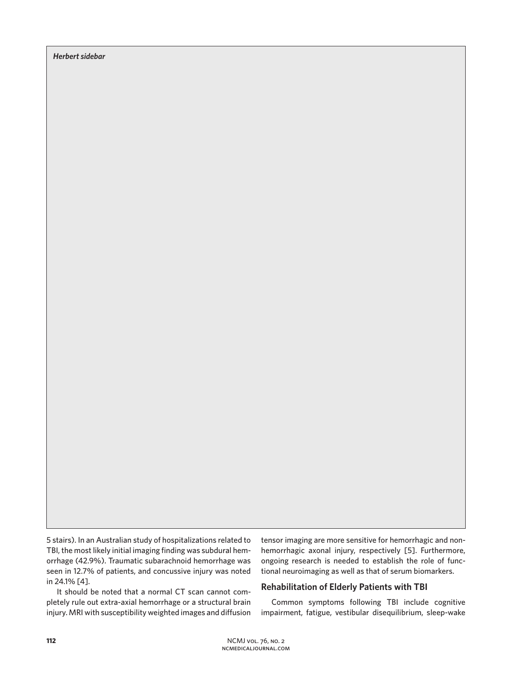*Herbert sidebar*

5 stairs). In an Australian study of hospitalizations related to TBI, the most likely initial imaging finding was subdural hemorrhage (42.9%). Traumatic subarachnoid hemorrhage was seen in 12.7% of patients, and concussive injury was noted in 24.1% [4].

It should be noted that a normal CT scan cannot completely rule out extra-axial hemorrhage or a structural brain injury. MRI with susceptibility weighted images and diffusion

tensor imaging are more sensitive for hemorrhagic and nonhemorrhagic axonal injury, respectively [5]. Furthermore, ongoing research is needed to establish the role of functional neuroimaging as well as that of serum biomarkers.

## **Rehabilitation of Elderly Patients with TBI**

Common symptoms following TBI include cognitive impairment, fatigue, vestibular disequilibrium, sleep-wake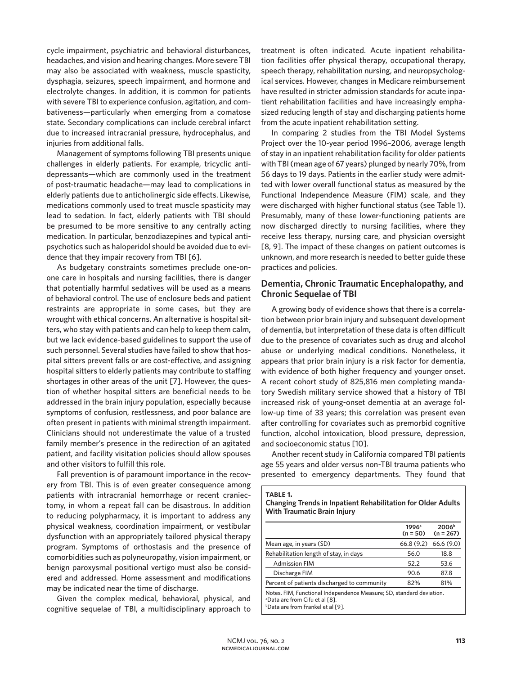cycle impairment, psychiatric and behavioral disturbances, headaches, and vision and hearing changes. More severe TBI may also be associated with weakness, muscle spasticity, dysphagia, seizures, speech impairment, and hormone and electrolyte changes. In addition, it is common for patients with severe TBI to experience confusion, agitation, and combativeness—particularly when emerging from a comatose state. Secondary complications can include cerebral infarct due to increased intracranial pressure, hydrocephalus, and injuries from additional falls.

Management of symptoms following TBI presents unique challenges in elderly patients. For example, tricyclic antidepressants—which are commonly used in the treatment of post-traumatic headache—may lead to complications in elderly patients due to anticholinergic side effects. Likewise, medications commonly used to treat muscle spasticity may lead to sedation. In fact, elderly patients with TBI should be presumed to be more sensitive to any centrally acting medication. In particular, benzodiazepines and typical antipsychotics such as haloperidol should be avoided due to evidence that they impair recovery from TBI [6].

As budgetary constraints sometimes preclude one-onone care in hospitals and nursing facilities, there is danger that potentially harmful sedatives will be used as a means of behavioral control. The use of enclosure beds and patient restraints are appropriate in some cases, but they are wrought with ethical concerns. An alternative is hospital sitters, who stay with patients and can help to keep them calm, but we lack evidence-based guidelines to support the use of such personnel. Several studies have failed to show that hospital sitters prevent falls or are cost-effective, and assigning hospital sitters to elderly patients may contribute to staffing shortages in other areas of the unit [7]. However, the question of whether hospital sitters are beneficial needs to be addressed in the brain injury population, especially because symptoms of confusion, restlessness, and poor balance are often present in patients with minimal strength impairment. Clinicians should not underestimate the value of a trusted family member's presence in the redirection of an agitated patient, and facility visitation policies should allow spouses and other visitors to fulfill this role.

Fall prevention is of paramount importance in the recovery from TBI. This is of even greater consequence among patients with intracranial hemorrhage or recent craniectomy, in whom a repeat fall can be disastrous. In addition to reducing polypharmacy, it is important to address any physical weakness, coordination impairment, or vestibular dysfunction with an appropriately tailored physical therapy program. Symptoms of orthostasis and the presence of comorbidities such as polyneuropathy, vision impairment, or benign paroxysmal positional vertigo must also be considered and addressed. Home assessment and modifications may be indicated near the time of discharge.

Given the complex medical, behavioral, physical, and cognitive sequelae of TBI, a multidisciplinary approach to

treatment is often indicated. Acute inpatient rehabilitation facilities offer physical therapy, occupational therapy, speech therapy, rehabilitation nursing, and neuropsychological services. However, changes in Medicare reimbursement have resulted in stricter admission standards for acute inpatient rehabilitation facilities and have increasingly emphasized reducing length of stay and discharging patients home from the acute inpatient rehabilitation setting.

In comparing 2 studies from the TBI Model Systems Project over the 10-year period 1996–2006, average length of stay in an inpatient rehabilitation facility for older patients with TBI (mean age of 67 years) plunged by nearly 70%, from 56 days to 19 days. Patients in the earlier study were admitted with lower overall functional status as measured by the Functional Independence Measure (FIM) scale, and they were discharged with higher functional status (see Table 1). Presumably, many of these lower-functioning patients are now discharged directly to nursing facilities, where they receive less therapy, nursing care, and physician oversight [8, 9]. The impact of these changes on patient outcomes is unknown, and more research is needed to better guide these practices and policies.

## **Dementia, Chronic Traumatic Encephalopathy, and Chronic Sequelae of TBI**

A growing body of evidence shows that there is a correlation between prior brain injury and subsequent development of dementia, but interpretation of these data is often difficult due to the presence of covariates such as drug and alcohol abuse or underlying medical conditions. Nonetheless, it appears that prior brain injury is a risk factor for dementia, with evidence of both higher frequency and younger onset. A recent cohort study of 825,816 men completing mandatory Swedish military service showed that a history of TBI increased risk of young-onset dementia at an average follow-up time of 33 years; this correlation was present even after controlling for covariates such as premorbid cognitive function, alcohol intoxication, blood pressure, depression, and socioeconomic status [10].

Another recent study in California compared TBI patients age 55 years and older versus non-TBI trauma patients who presented to emergency departments. They found that

| TABLE 1.<br><b>Changing Trends in Inpatient Rehabilitation for Older Adults</b><br><b>With Traumatic Brain Injury</b> |                |                                             |
|-----------------------------------------------------------------------------------------------------------------------|----------------|---------------------------------------------|
|                                                                                                                       | $1996^{\circ}$ | 2006 <sup>b</sup><br>$(n = 50)$ $(n = 267)$ |

|                                                                                                                                                                  | רטשפו<br>$(n = 50)$ | zuub"<br>$(n = 267)$ |
|------------------------------------------------------------------------------------------------------------------------------------------------------------------|---------------------|----------------------|
| Mean age, in years (SD)                                                                                                                                          | 66.8 (9.2)          | 66.6(9.0)            |
| Rehabilitation length of stay, in days                                                                                                                           | 56.0                | 18.8                 |
| <b>Admission FIM</b>                                                                                                                                             | 52.2                | 53.6                 |
| Discharge FIM                                                                                                                                                    | 90.6                | 87.8                 |
| Percent of patients discharged to community                                                                                                                      | 82%                 | 81%                  |
| Notes. FIM, Functional Independence Measure; SD, standard deviation.<br><b>aData are from Cifu et al [8].</b><br><b><i>b</i>Data are from Frankel et al [9].</b> |                     |                      |